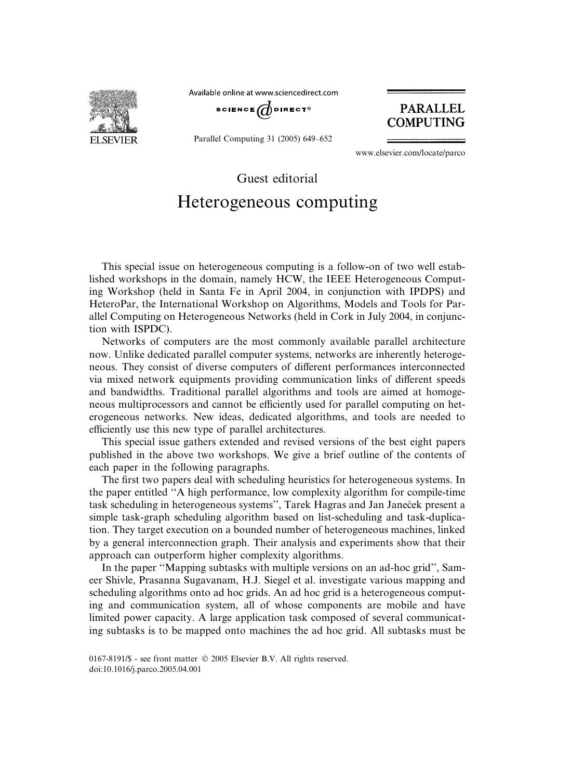**ELSEVIER** 

Available online at www.sciencedirect.com



Parallel Computing 31 (2005) 649–652



www.elsevier.com/locate/parco

## Guest editorial Heterogeneous computing

This special issue on heterogeneous computing is a follow-on of two well established workshops in the domain, namely HCW, the IEEE Heterogeneous Computing Workshop (held in Santa Fe in April 2004, in conjunction with IPDPS) and HeteroPar, the International Workshop on Algorithms, Models and Tools for Parallel Computing on Heterogeneous Networks (held in Cork in July 2004, in conjunction with ISPDC).

Networks of computers are the most commonly available parallel architecture now. Unlike dedicated parallel computer systems, networks are inherently heterogeneous. They consist of diverse computers of different performances interconnected via mixed network equipments providing communication links of different speeds and bandwidths. Traditional parallel algorithms and tools are aimed at homogeneous multiprocessors and cannot be efficiently used for parallel computing on heterogeneous networks. New ideas, dedicated algorithms, and tools are needed to efficiently use this new type of parallel architectures.

This special issue gathers extended and revised versions of the best eight papers published in the above two workshops. We give a brief outline of the contents of each paper in the following paragraphs.

The first two papers deal with scheduling heuristics for heterogeneous systems. In the paper entitled ''A high performance, low complexity algorithm for compile-time task scheduling in heterogeneous systems'', Tarek Hagras and Jan Janecek present a simple task-graph scheduling algorithm based on list-scheduling and task-duplication. They target execution on a bounded number of heterogeneous machines, linked by a general interconnection graph. Their analysis and experiments show that their approach can outperform higher complexity algorithms.

In the paper ''Mapping subtasks with multiple versions on an ad-hoc grid'', Sameer Shivle, Prasanna Sugavanam, H.J. Siegel et al. investigate various mapping and scheduling algorithms onto ad hoc grids. An ad hoc grid is a heterogeneous computing and communication system, all of whose components are mobile and have limited power capacity. A large application task composed of several communicating subtasks is to be mapped onto machines the ad hoc grid. All subtasks must be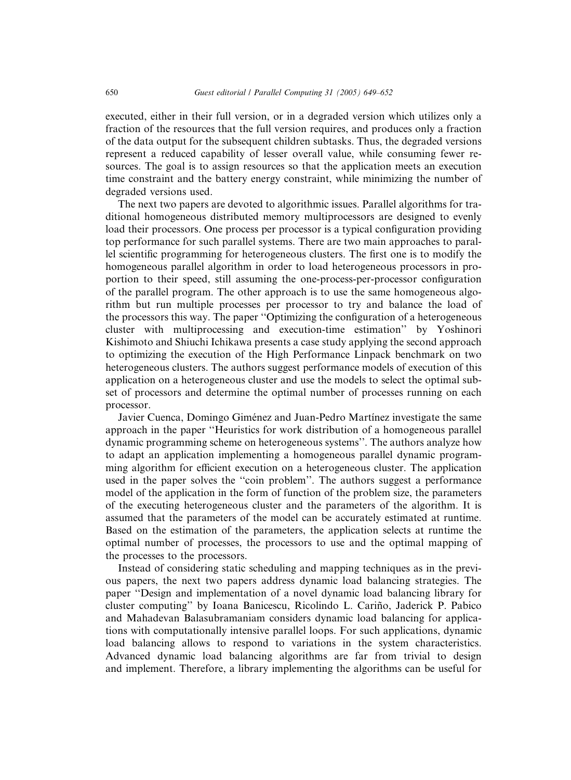executed, either in their full version, or in a degraded version which utilizes only a fraction of the resources that the full version requires, and produces only a fraction of the data output for the subsequent children subtasks. Thus, the degraded versions represent a reduced capability of lesser overall value, while consuming fewer resources. The goal is to assign resources so that the application meets an execution time constraint and the battery energy constraint, while minimizing the number of degraded versions used.

The next two papers are devoted to algorithmic issues. Parallel algorithms for traditional homogeneous distributed memory multiprocessors are designed to evenly load their processors. One process per processor is a typical configuration providing top performance for such parallel systems. There are two main approaches to parallel scientific programming for heterogeneous clusters. The first one is to modify the homogeneous parallel algorithm in order to load heterogeneous processors in proportion to their speed, still assuming the one-process-per-processor configuration of the parallel program. The other approach is to use the same homogeneous algorithm but run multiple processes per processor to try and balance the load of the processors this way. The paper ''Optimizing the configuration of a heterogeneous cluster with multiprocessing and execution-time estimation'' by Yoshinori Kishimoto and Shiuchi Ichikawa presents a case study applying the second approach to optimizing the execution of the High Performance Linpack benchmark on two heterogeneous clusters. The authors suggest performance models of execution of this application on a heterogeneous cluster and use the models to select the optimal subset of processors and determine the optimal number of processes running on each processor.

Javier Cuenca, Domingo Giménez and Juan-Pedro Martínez investigate the same approach in the paper ''Heuristics for work distribution of a homogeneous parallel dynamic programming scheme on heterogeneous systems''. The authors analyze how to adapt an application implementing a homogeneous parallel dynamic programming algorithm for efficient execution on a heterogeneous cluster. The application used in the paper solves the ''coin problem''. The authors suggest a performance model of the application in the form of function of the problem size, the parameters of the executing heterogeneous cluster and the parameters of the algorithm. It is assumed that the parameters of the model can be accurately estimated at runtime. Based on the estimation of the parameters, the application selects at runtime the optimal number of processes, the processors to use and the optimal mapping of the processes to the processors.

Instead of considering static scheduling and mapping techniques as in the previous papers, the next two papers address dynamic load balancing strategies. The paper ''Design and implementation of a novel dynamic load balancing library for cluster computing" by Ioana Banicescu, Ricolindo L. Cariño, Jaderick P. Pabico and Mahadevan Balasubramaniam considers dynamic load balancing for applications with computationally intensive parallel loops. For such applications, dynamic load balancing allows to respond to variations in the system characteristics. Advanced dynamic load balancing algorithms are far from trivial to design and implement. Therefore, a library implementing the algorithms can be useful for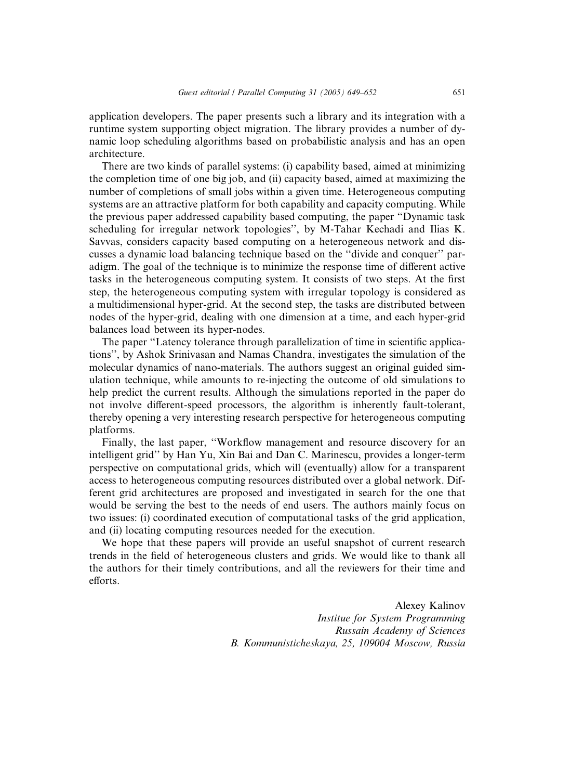application developers. The paper presents such a library and its integration with a runtime system supporting object migration. The library provides a number of dynamic loop scheduling algorithms based on probabilistic analysis and has an open architecture.

There are two kinds of parallel systems: (i) capability based, aimed at minimizing the completion time of one big job, and (ii) capacity based, aimed at maximizing the number of completions of small jobs within a given time. Heterogeneous computing systems are an attractive platform for both capability and capacity computing. While the previous paper addressed capability based computing, the paper ''Dynamic task scheduling for irregular network topologies'', by M-Tahar Kechadi and Ilias K. Savvas, considers capacity based computing on a heterogeneous network and discusses a dynamic load balancing technique based on the ''divide and conquer'' paradigm. The goal of the technique is to minimize the response time of different active tasks in the heterogeneous computing system. It consists of two steps. At the first step, the heterogeneous computing system with irregular topology is considered as a multidimensional hyper-grid. At the second step, the tasks are distributed between nodes of the hyper-grid, dealing with one dimension at a time, and each hyper-grid balances load between its hyper-nodes.

The paper ''Latency tolerance through parallelization of time in scientific applications'', by Ashok Srinivasan and Namas Chandra, investigates the simulation of the molecular dynamics of nano-materials. The authors suggest an original guided simulation technique, while amounts to re-injecting the outcome of old simulations to help predict the current results. Although the simulations reported in the paper do not involve different-speed processors, the algorithm is inherently fault-tolerant, thereby opening a very interesting research perspective for heterogeneous computing platforms.

Finally, the last paper, ''Workflow management and resource discovery for an intelligent grid'' by Han Yu, Xin Bai and Dan C. Marinescu, provides a longer-term perspective on computational grids, which will (eventually) allow for a transparent access to heterogeneous computing resources distributed over a global network. Different grid architectures are proposed and investigated in search for the one that would be serving the best to the needs of end users. The authors mainly focus on two issues: (i) coordinated execution of computational tasks of the grid application, and (ii) locating computing resources needed for the execution.

We hope that these papers will provide an useful snapshot of current research trends in the field of heterogeneous clusters and grids. We would like to thank all the authors for their timely contributions, and all the reviewers for their time and efforts.

> Alexey Kalinov Institue for System Programming Russain Academy of Sciences B. Kommunisticheskaya, 25, 109004 Moscow, Russia